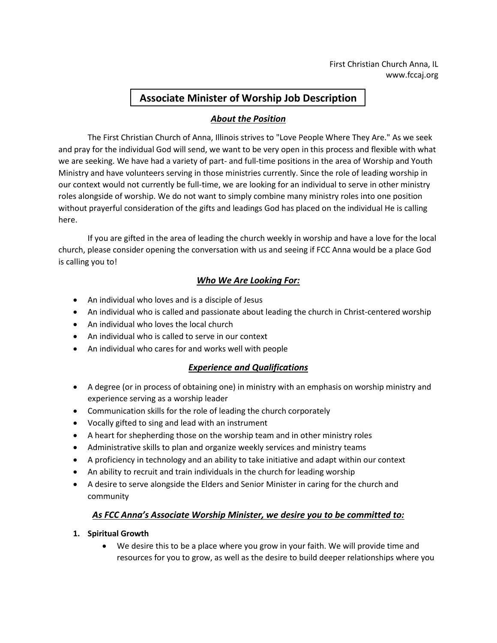# **Associate Minister of Worship Job Description**

# *About the Position*

The First Christian Church of Anna, Illinois strives to "Love People Where They Are." As we seek and pray for the individual God will send, we want to be very open in this process and flexible with what we are seeking. We have had a variety of part- and full-time positions in the area of Worship and Youth Ministry and have volunteers serving in those ministries currently. Since the role of leading worship in our context would not currently be full-time, we are looking for an individual to serve in other ministry roles alongside of worship. We do not want to simply combine many ministry roles into one position without prayerful consideration of the gifts and leadings God has placed on the individual He is calling here.

If you are gifted in the area of leading the church weekly in worship and have a love for the local church, please consider opening the conversation with us and seeing if FCC Anna would be a place God is calling you to!

# *Who We Are Looking For:*

- An individual who loves and is a disciple of Jesus
- An individual who is called and passionate about leading the church in Christ-centered worship
- An individual who loves the local church
- An individual who is called to serve in our context
- An individual who cares for and works well with people

### *Experience and Qualifications*

- A degree (or in process of obtaining one) in ministry with an emphasis on worship ministry and experience serving as a worship leader
- Communication skills for the role of leading the church corporately
- Vocally gifted to sing and lead with an instrument
- A heart for shepherding those on the worship team and in other ministry roles
- Administrative skills to plan and organize weekly services and ministry teams
- A proficiency in technology and an ability to take initiative and adapt within our context
- An ability to recruit and train individuals in the church for leading worship
- A desire to serve alongside the Elders and Senior Minister in caring for the church and community

# *As FCC Anna's Associate Worship Minister, we desire you to be committed to:*

### **1. Spiritual Growth**

• We desire this to be a place where you grow in your faith. We will provide time and resources for you to grow, as well as the desire to build deeper relationships where you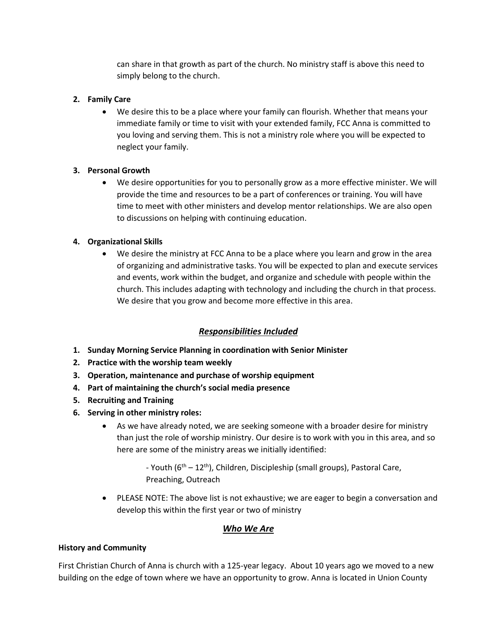can share in that growth as part of the church. No ministry staff is above this need to simply belong to the church.

### **2. Family Care**

• We desire this to be a place where your family can flourish. Whether that means your immediate family or time to visit with your extended family, FCC Anna is committed to you loving and serving them. This is not a ministry role where you will be expected to neglect your family.

### **3. Personal Growth**

• We desire opportunities for you to personally grow as a more effective minister. We will provide the time and resources to be a part of conferences or training. You will have time to meet with other ministers and develop mentor relationships. We are also open to discussions on helping with continuing education.

### **4. Organizational Skills**

• We desire the ministry at FCC Anna to be a place where you learn and grow in the area of organizing and administrative tasks. You will be expected to plan and execute services and events, work within the budget, and organize and schedule with people within the church. This includes adapting with technology and including the church in that process. We desire that you grow and become more effective in this area.

# *Responsibilities Included*

- **1. Sunday Morning Service Planning in coordination with Senior Minister**
- **2. Practice with the worship team weekly**
- **3. Operation, maintenance and purchase of worship equipment**
- **4. Part of maintaining the church's social media presence**
- **5. Recruiting and Training**
- **6. Serving in other ministry roles:**
	- As we have already noted, we are seeking someone with a broader desire for ministry than just the role of worship ministry. Our desire is to work with you in this area, and so here are some of the ministry areas we initially identified:

- Youth (6<sup>th</sup> – 12<sup>th</sup>), Children, Discipleship (small groups), Pastoral Care, Preaching, Outreach

• PLEASE NOTE: The above list is not exhaustive; we are eager to begin a conversation and develop this within the first year or two of ministry

# *Who We Are*

### **History and Community**

First Christian Church of Anna is church with a 125-year legacy. About 10 years ago we moved to a new building on the edge of town where we have an opportunity to grow. Anna is located in Union County